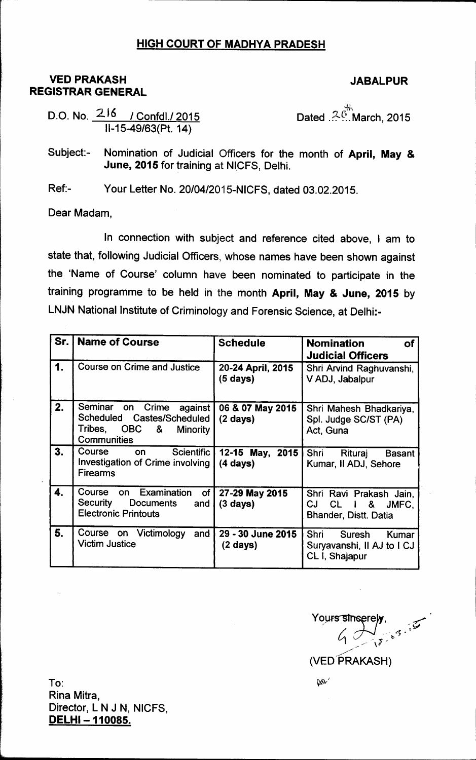## HIGH COURT OF MADHYA PRADESH

## **VED PRAKASH** REGISTRAR GENERAL

## JABALPUR

D.O. No. 216 / Confdl./ 201 11-15-49/63(Pt.14)

Dated . $\overset{3}{\sim} \overset{3}{\cdots}$ March, 2015

Subject:- Nomination of Judicial Officers for the month of April, May & June, 2015 for training at NICFS, Delhi.

Ref:- Your Letter No. 20/04/2015-NICFS, dated 03.02.2015.

Dear Madam,

In connection with subject and reference cited above, I am to state that, following Judicial Officers, whose names have been shown against the 'Name of Course' column have been nominated to participate in the training programme to be held in the month April, May & June, 2015 by LNJN National Institute of Criminology and Forensic Science, at Delhi:-

| Sr. | <b>Name of Course</b>                                                                                            | <b>Schedule</b>                        | <b>Nomination</b><br><b>of</b><br><b>Judicial Officers</b>              |
|-----|------------------------------------------------------------------------------------------------------------------|----------------------------------------|-------------------------------------------------------------------------|
| 1.  | <b>Course on Crime and Justice</b>                                                                               | 20-24 April, 2015<br>(5 days)          | Shri Arvind Raghuvanshi,<br>V ADJ, Jabalpur                             |
| 2.  | Seminar on Crime against<br>Scheduled Castes/Scheduled<br>Tribes, OBC &<br><b>Minority</b><br><b>Communities</b> | 06 & 07 May 2015<br>$(2 \text{ days})$ | Shri Mahesh Bhadkariya,<br>Spl. Judge SC/ST (PA)<br>Act, Guna           |
| 3.  | Course on<br>Scientific<br>Investigation of Crime involving<br><b>Firearms</b>                                   | 12-15 May, 2015<br>$(4 \text{ days})$  | Shri<br>Rituraj<br><b>Basant</b><br>Kumar, II ADJ, Sehore               |
| 4.  | on Examination<br>Course<br>of <sub>1</sub><br>Security<br>Documents<br>and<br><b>Electronic Printouts</b>       | 27-29 May 2015<br>$(3 \; days)$        | Shri Ravi Prakash Jain,<br>CL i & JMFC,<br>CJ<br>Bhander, Distt. Datia  |
| 5.  | Course on Victimology<br>and<br><b>Victim Justice</b>                                                            | 29 - 30 June 2015<br>$(2 \; days)$     | Shri<br>Suresh<br>Kumar<br>Suryavanshi, Il AJ to I CJ<br>CL I, Shajapur |

Yours sinserely,  $\frac{1}{2}$ 

To: Rina Mitra, Director, L N J N, NICFS, DELHI - 110085.

 $\mathbf{W}^2$ 

<sup>(</sup>VED PRAKASH)